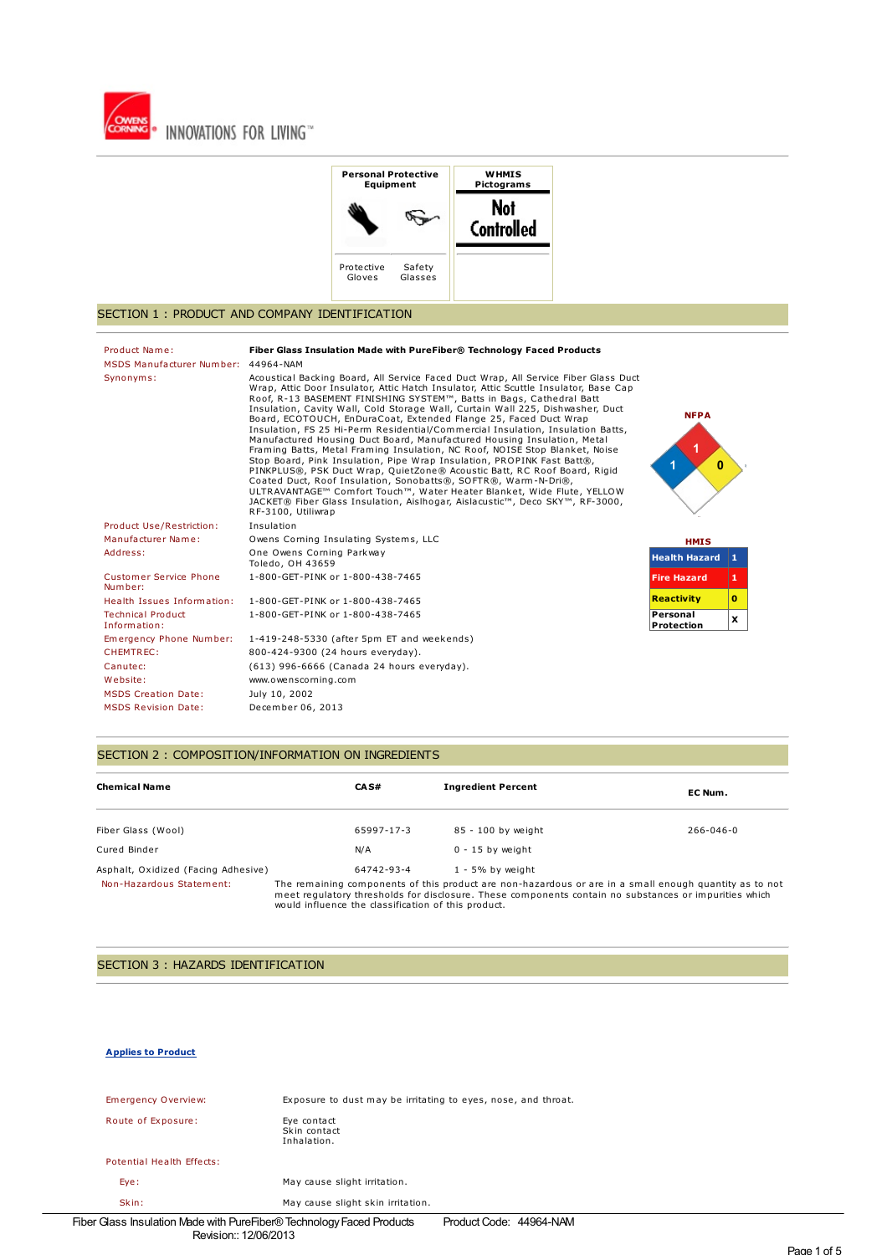



### SECTION 1 : PRODUCT AND COMPANY IDENTIFICATION

| Product Name:<br>MSDS Manufacturer Number: 44964-NAM | Fiber Glass Insulation Made with PureFiber® Technology Faced Products                                                                                                                                                                                                                                                                                                                                                                                                                                                                                                                                                                                                                                                                                                                                                                                                                                                                                                                                                                                         |                             |              |
|------------------------------------------------------|---------------------------------------------------------------------------------------------------------------------------------------------------------------------------------------------------------------------------------------------------------------------------------------------------------------------------------------------------------------------------------------------------------------------------------------------------------------------------------------------------------------------------------------------------------------------------------------------------------------------------------------------------------------------------------------------------------------------------------------------------------------------------------------------------------------------------------------------------------------------------------------------------------------------------------------------------------------------------------------------------------------------------------------------------------------|-----------------------------|--------------|
| Synonyms:                                            | Acoustical Backing Board, All Service Faced Duct Wrap, All Service Fiber Glass Duct<br>Wrap, Attic Door Insulator, Attic Hatch Insulator, Attic Scuttle Insulator, Base Cap<br>Roof, R-13 BASEMENT FINISHING SYSTEM™, Batts in Bags, Cathedral Batt<br>Insulation, Cavity Wall, Cold Storage Wall, Curtain Wall 225, Dishwasher, Duct<br>Board, ECOTOUCH, EnDuraCoat, Extended Flange 25, Faced Duct Wrap<br>Insulation, FS 25 Hi-Perm Residential/Commercial Insulation, Insulation Batts,<br>Manufactured Housing Duct Board, Manufactured Housing Insulation, Metal<br>Framing Batts, Metal Framing Insulation, NC Roof, NOISE Stop Blanket, Noise<br>Stop Board, Pink Insulation, Pipe Wrap Insulation, PROPINK Fast Batt®,<br>PINKPLUS®, PSK Duct Wrap, QuietZone® Acoustic Batt, RC Roof Board, Rigid<br>Coated Duct, Roof Insulation, Sonobatts®, SOFTR®, Warm-N-Dri®,<br>ULTRAVANTAGE™ Comfort Touch™, Water Heater Blanket, Wide Flute, YELLOW<br>JACKET® Fiber Glass Insulation, Aislhogar, Aislacustic™, Deco SKY™, RF-3000,<br>RF-3100, Utiliwrap | <b>NFPA</b><br>$\mathbf{0}$ |              |
| Product Use/Restriction:                             | Insulation                                                                                                                                                                                                                                                                                                                                                                                                                                                                                                                                                                                                                                                                                                                                                                                                                                                                                                                                                                                                                                                    |                             |              |
| Manufacturer Name:                                   | Owens Corning Insulating Systems, LLC                                                                                                                                                                                                                                                                                                                                                                                                                                                                                                                                                                                                                                                                                                                                                                                                                                                                                                                                                                                                                         | <b>HMIS</b>                 |              |
| Address:                                             | One Owens Corning Parkway<br>Toledo, OH 43659                                                                                                                                                                                                                                                                                                                                                                                                                                                                                                                                                                                                                                                                                                                                                                                                                                                                                                                                                                                                                 | <b>Health Hazard</b> 1      |              |
| Customer Service Phone<br>Number:                    | 1-800-GET-PINK or 1-800-438-7465                                                                                                                                                                                                                                                                                                                                                                                                                                                                                                                                                                                                                                                                                                                                                                                                                                                                                                                                                                                                                              | <b>Fire Hazard</b>          | 1.           |
| Health Issues Information:                           | 1-800-GET-PINK or 1-800-438-7465                                                                                                                                                                                                                                                                                                                                                                                                                                                                                                                                                                                                                                                                                                                                                                                                                                                                                                                                                                                                                              | <b>Reactivity</b>           | $\mathbf{0}$ |
| <b>Technical Product</b><br>Information:             | 1-800-GET-PINK or 1-800-438-7465                                                                                                                                                                                                                                                                                                                                                                                                                                                                                                                                                                                                                                                                                                                                                                                                                                                                                                                                                                                                                              | Personal<br>Protection      | x            |
| Emergency Phone Number:                              | 1-419-248-5330 (after 5pm ET and weekends)                                                                                                                                                                                                                                                                                                                                                                                                                                                                                                                                                                                                                                                                                                                                                                                                                                                                                                                                                                                                                    |                             |              |
| CHEMTREC:                                            | 800-424-9300 (24 hours everyday).                                                                                                                                                                                                                                                                                                                                                                                                                                                                                                                                                                                                                                                                                                                                                                                                                                                                                                                                                                                                                             |                             |              |
| Canutec:                                             | (613) 996-6666 (Canada 24 hours everyday).                                                                                                                                                                                                                                                                                                                                                                                                                                                                                                                                                                                                                                                                                                                                                                                                                                                                                                                                                                                                                    |                             |              |
| Website:                                             | www.owenscorning.com                                                                                                                                                                                                                                                                                                                                                                                                                                                                                                                                                                                                                                                                                                                                                                                                                                                                                                                                                                                                                                          |                             |              |
| <b>MSDS Creation Date:</b>                           | July 10, 2002                                                                                                                                                                                                                                                                                                                                                                                                                                                                                                                                                                                                                                                                                                                                                                                                                                                                                                                                                                                                                                                 |                             |              |
| <b>MSDS Revision Date:</b>                           | December 06, 2013                                                                                                                                                                                                                                                                                                                                                                                                                                                                                                                                                                                                                                                                                                                                                                                                                                                                                                                                                                                                                                             |                             |              |

## SECTION 2 : COMPOSITION/INFORMATION ON INGREDIENTS

| <b>Chemical Name</b>                | CAS#                                                                                                                                                                                                                                                                   | <b>Ingredient Percent</b> | EC Num.         |
|-------------------------------------|------------------------------------------------------------------------------------------------------------------------------------------------------------------------------------------------------------------------------------------------------------------------|---------------------------|-----------------|
| Fiber Glass (Wool)                  | 65997-17-3                                                                                                                                                                                                                                                             | 85 - 100 by weight        | $266 - 046 - 0$ |
| Cured Binder                        | N/A                                                                                                                                                                                                                                                                    | $0 - 15$ by weight        |                 |
| Asphalt, Oxidized (Facing Adhesive) | 64742-93-4                                                                                                                                                                                                                                                             | $1 - 5\%$ by weight       |                 |
| Non-Hazardous Statement:            | The remaining components of this product are non-hazardous or are in a small enough quantity as to not<br>meet regulatory thresholds for disclosure. These components contain no substances or impurities which<br>would influence the classification of this product. |                           |                 |

# SECTION 3 : HAZARDS IDENTIFICATION

### **Applies to Product**

| Emergency Overview:                                             | Exposure to dust may be irritating to eyes, nose, and throat. |  |
|-----------------------------------------------------------------|---------------------------------------------------------------|--|
| Route of Exposure:                                              | Eve contact<br>Skin contact<br>Inhalation.                    |  |
| Potential Health Effects:                                       |                                                               |  |
| Eye:                                                            | May cause slight irritation.                                  |  |
| Skin:                                                           | May cause slight skin irritation.                             |  |
| Glass Insulation Made with PureFiber® Technology Faced Products | Product Code: 44964-NAM                                       |  |

Fiber Glass Insulation Made with PureFiber®TechnologyFaced Products Revision:: 12/06/2013

Page 1 of 5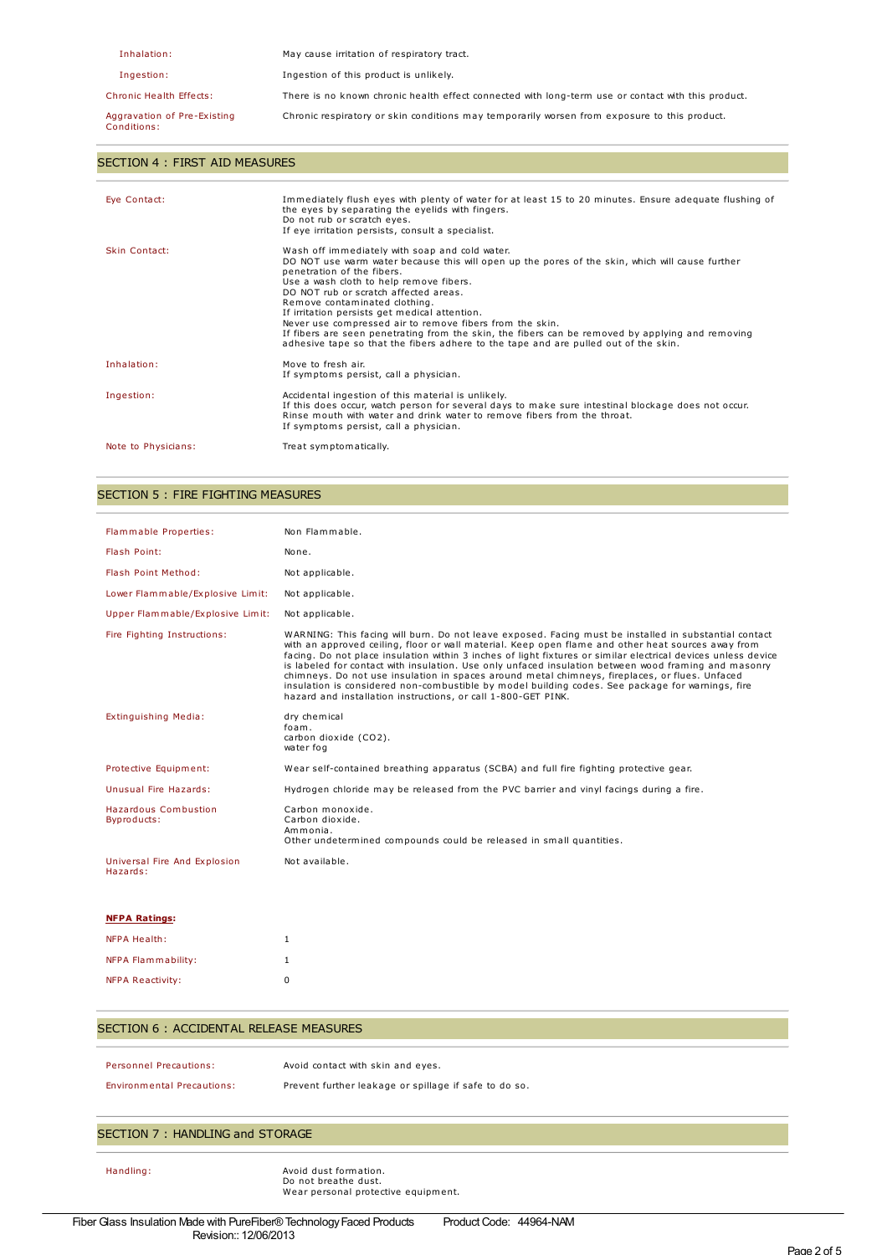| Inhalation:                                | May cause irritation of respiratory tract.                                                         |
|--------------------------------------------|----------------------------------------------------------------------------------------------------|
| Ingestion:                                 | Ingestion of this product is unlikely.                                                             |
| Chronic Health Effects:                    | There is no known chronic health effect connected with long-term use or contact with this product. |
| Aggravation of Pre-Existing<br>Conditions: | Chronic respiratory or skin conditions may temporarily worsen from exposure to this product.       |

### SECTION 4 : FIRST AID MEASURES

| Eye Contact:         | Immediately flush eyes with plenty of water for at least 15 to 20 minutes. Ensure adequate flushing of<br>the eyes by separating the eyelids with fingers.<br>Do not rub or scratch eyes.<br>If eye irritation persists, consult a specialist.                                                                                                                                                                                                                                                                                                                                                               |
|----------------------|--------------------------------------------------------------------------------------------------------------------------------------------------------------------------------------------------------------------------------------------------------------------------------------------------------------------------------------------------------------------------------------------------------------------------------------------------------------------------------------------------------------------------------------------------------------------------------------------------------------|
| <b>Skin Contact:</b> | Wash off immediately with soap and cold water.<br>DO NOT use warm water because this will open up the pores of the skin, which will cause further<br>penetration of the fibers.<br>Use a wash cloth to help remove fibers.<br>DO NOT rub or scratch affected areas.<br>Remove contaminated clothing.<br>If irritation persists get medical attention.<br>Never use compressed air to remove fibers from the skin.<br>If fibers are seen penetrating from the skin, the fibers can be removed by applying and removing<br>adhesive tape so that the fibers adhere to the tape and are pulled out of the skin. |
| Inhalation:          | Move to fresh air.<br>If symptoms persist, call a physician.                                                                                                                                                                                                                                                                                                                                                                                                                                                                                                                                                 |
| Ingestion:           | Accidental ingestion of this material is unlikely.<br>If this does occur, watch person for several days to make sure intestinal blockage does not occur.<br>Rinse mouth with water and drink water to remove fibers from the throat.<br>If symptoms persist, call a physician.                                                                                                                                                                                                                                                                                                                               |
| Note to Physicians:  | Treat symptomatically.                                                                                                                                                                                                                                                                                                                                                                                                                                                                                                                                                                                       |

### SECTION 5 : FIRE FIGHTING MEASURES

| Flammable Properties:                    | Non Flammable.                                                                                                                                                                                                                                                                                                                                                                                                                                                                                                                                                                                                                                                                                              |
|------------------------------------------|-------------------------------------------------------------------------------------------------------------------------------------------------------------------------------------------------------------------------------------------------------------------------------------------------------------------------------------------------------------------------------------------------------------------------------------------------------------------------------------------------------------------------------------------------------------------------------------------------------------------------------------------------------------------------------------------------------------|
| Flash Point:                             | None.                                                                                                                                                                                                                                                                                                                                                                                                                                                                                                                                                                                                                                                                                                       |
| Flash Point Method:                      | Not applicable.                                                                                                                                                                                                                                                                                                                                                                                                                                                                                                                                                                                                                                                                                             |
| Lower Flammable/Explosive Limit:         | Not applicable.                                                                                                                                                                                                                                                                                                                                                                                                                                                                                                                                                                                                                                                                                             |
| Upper Flammable/Explosive Limit:         | Not applicable.                                                                                                                                                                                                                                                                                                                                                                                                                                                                                                                                                                                                                                                                                             |
| Fire Fighting Instructions:              | WARNING: This facing will burn. Do not leave exposed. Facing must be installed in substantial contact<br>with an approved ceiling, floor or wall material. Keep open flame and other heat sources away from<br>facing. Do not place insulation within 3 inches of light fixtures or similar electrical devices unless device<br>is labeled for contact with insulation. Use only unfaced insulation between wood framing and masonry<br>chimneys. Do not use insulation in spaces around metal chimneys, fireplaces, or flues. Unfaced<br>insulation is considered non-combustible by model building codes. See package for warnings, fire<br>hazard and installation instructions, or call 1-800-GET PINK. |
| Extinguishing Media:                     | dry chemical<br>foam.<br>carbon dioxide (CO2).<br>water fog                                                                                                                                                                                                                                                                                                                                                                                                                                                                                                                                                                                                                                                 |
| Protective Equipment:                    | Wear self-contained breathing apparatus (SCBA) and full fire fighting protective gear.                                                                                                                                                                                                                                                                                                                                                                                                                                                                                                                                                                                                                      |
| Unusual Fire Hazards:                    | Hydrogen chloride may be released from the PVC barrier and vinyl facings during a fire.                                                                                                                                                                                                                                                                                                                                                                                                                                                                                                                                                                                                                     |
| Hazardous Combustion<br>Byproducts:      | Carbon monoxide.<br>Carbon dioxide.<br>Ammonia.<br>Other undetermined compounds could be released in small quantities.                                                                                                                                                                                                                                                                                                                                                                                                                                                                                                                                                                                      |
| Universal Fire And Explosion<br>Hazards: | Not available.                                                                                                                                                                                                                                                                                                                                                                                                                                                                                                                                                                                                                                                                                              |
| <b>NFPA Ratings:</b>                     |                                                                                                                                                                                                                                                                                                                                                                                                                                                                                                                                                                                                                                                                                                             |

| NFPA Health:            |   |
|-------------------------|---|
| NFPA Flammability:      |   |
| <b>NFPA Reactivity:</b> | n |

# SECTION 6 : ACCIDENTAL RELEASE MEASURES

Personnel Precautions: Avoid contact with skin and eyes.

Environmental Precautions: Prevent further leakage or spillage if safe to do so.

# SECTION 7 : HANDLING and STORAGE

Handling: Avoid dust formation. Do not breathe dust. Wear personal protective equipment.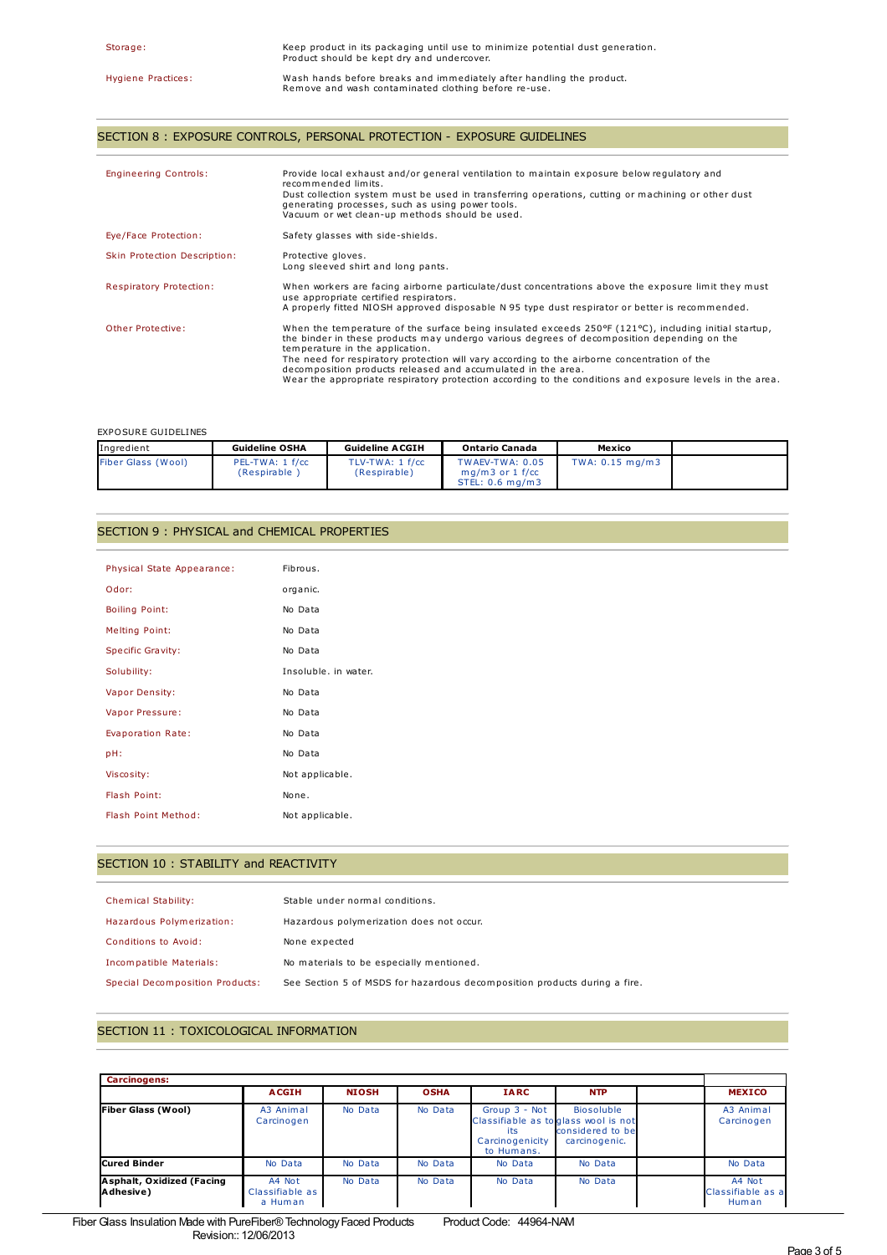## SECTION 8 : EXPOSURE CONTROLS, PERSONAL PROTECTION - EXPOSURE GUIDELINES

| <b>Engineering Controls:</b> | Provide local exhaust and/or general ventilation to maintain exposure below regulatory and<br>recommended limits.<br>Dust collection system must be used in transferring operations, cutting or machining or other dust<br>generating processes, such as using power tools.<br>Vacuum or wet clean-up methods should be used.                                                                                                                                                                                                          |
|------------------------------|----------------------------------------------------------------------------------------------------------------------------------------------------------------------------------------------------------------------------------------------------------------------------------------------------------------------------------------------------------------------------------------------------------------------------------------------------------------------------------------------------------------------------------------|
| Eye/Face Protection:         | Safety glasses with side-shields.                                                                                                                                                                                                                                                                                                                                                                                                                                                                                                      |
| Skin Protection Description: | Protective gloves.<br>Long sleeved shirt and long pants.                                                                                                                                                                                                                                                                                                                                                                                                                                                                               |
| Respiratory Protection:      | When workers are facing airborne particulate/dust concentrations above the exposure limit they must<br>use appropriate certified respirators.<br>A properly fitted NIOSH approved disposable N 95 type dust respirator or better is recommended.                                                                                                                                                                                                                                                                                       |
| Other Protective:            | When the temperature of the surface being insulated exceeds 250 $\degree$ F (121 $\degree$ C), including initial startup,<br>the binder in these products may undergo various degrees of decomposition depending on the<br>temperature in the application.<br>The need for respiratory protection will vary according to the airborne concentration of the<br>decomposition products released and accumulated in the area.<br>Wear the appropriate respiratory protection according to the conditions and exposure levels in the area. |

## EXPOSURE GUIDELINES

| Ingredient         | <b>Guideline OSHA</b>           | <b>Guideline ACGIH</b>          | <b>Ontario Canada</b>                                   | Mexico          |  |
|--------------------|---------------------------------|---------------------------------|---------------------------------------------------------|-----------------|--|
| Fiber Glass (Wool) | PEL-TWA: 1 f/cc<br>(Respirable) | TLV-TWA: 1 f/cc<br>(Respirable) | TWAEV-TWA: 0.05<br>$ma/m3$ or 1 f/cc<br>STEL: 0.6 ma/m3 | TWA: 0.15 mg/m3 |  |

### SECTION 9 : PHYSICAL and CHEMICAL PROPERTIES

| Physical State Appearance: | Fibrous.             |
|----------------------------|----------------------|
| Odor:                      | organic.             |
| <b>Boiling Point:</b>      | No Data              |
| <b>Melting Point:</b>      | No Data              |
| <b>Specific Gravity:</b>   | No Data              |
| Solubility:                | Insoluble, in water. |
| Vapor Density:             | No Data              |
| Vapor Pressure:            | No Data              |
| Evaporation Rate:          | No Data              |
| pH:                        | No Data              |
| Viscosity:                 | Not applicable.      |
| Flash Point:               | None.                |
| Flash Point Method:        | Not applicable.      |

## SECTION 10 : STABILITY and REACTIVITY

| Chemical Stability:             | Stable under normal conditions.                                           |
|---------------------------------|---------------------------------------------------------------------------|
| Hazardous Polymerization:       | Hazardous polymerization does not occur.                                  |
| Conditions to Avoid:            | None expected                                                             |
| Incompatible Materials:         | No materials to be especially mentioned.                                  |
| Special Decomposition Products: | See Section 5 of MSDS for hazardous decomposition products during a fire. |

## SECTION 11 : TOXICOLOGICAL INFORMATION

| <b>Carcinogens:</b>                    |                                      |              |             |                                                       |                                                                                                 |  |                                      |
|----------------------------------------|--------------------------------------|--------------|-------------|-------------------------------------------------------|-------------------------------------------------------------------------------------------------|--|--------------------------------------|
|                                        | <b>ACGIH</b>                         | <b>NIOSH</b> | <b>OSHA</b> | <b>IARC</b>                                           | <b>NTP</b>                                                                                      |  | <b>MEXICO</b>                        |
| <b>Fiber Glass (Wool)</b>              | A3 Animal<br>Carcinogen              | No Data      | No Data     | Group 3 - Not<br>its<br>Carcinogenicity<br>to Humans. | <b>Biosoluble</b><br>Classifiable as to glass wool is not<br>considered to bel<br>carcinogenic. |  | A3 Animal<br>Carcinogen              |
| Cured Binder                           | No Data                              | No Data      | No Data     | No Data                                               | No Data                                                                                         |  | No Data                              |
| Asphalt, Oxidized (Facing<br>Adhesive) | A4 Not<br>Classifiable as<br>a Human | No Data      | No Data     | No Data                                               | No Data                                                                                         |  | A4 Not<br>Classifiable as a<br>Human |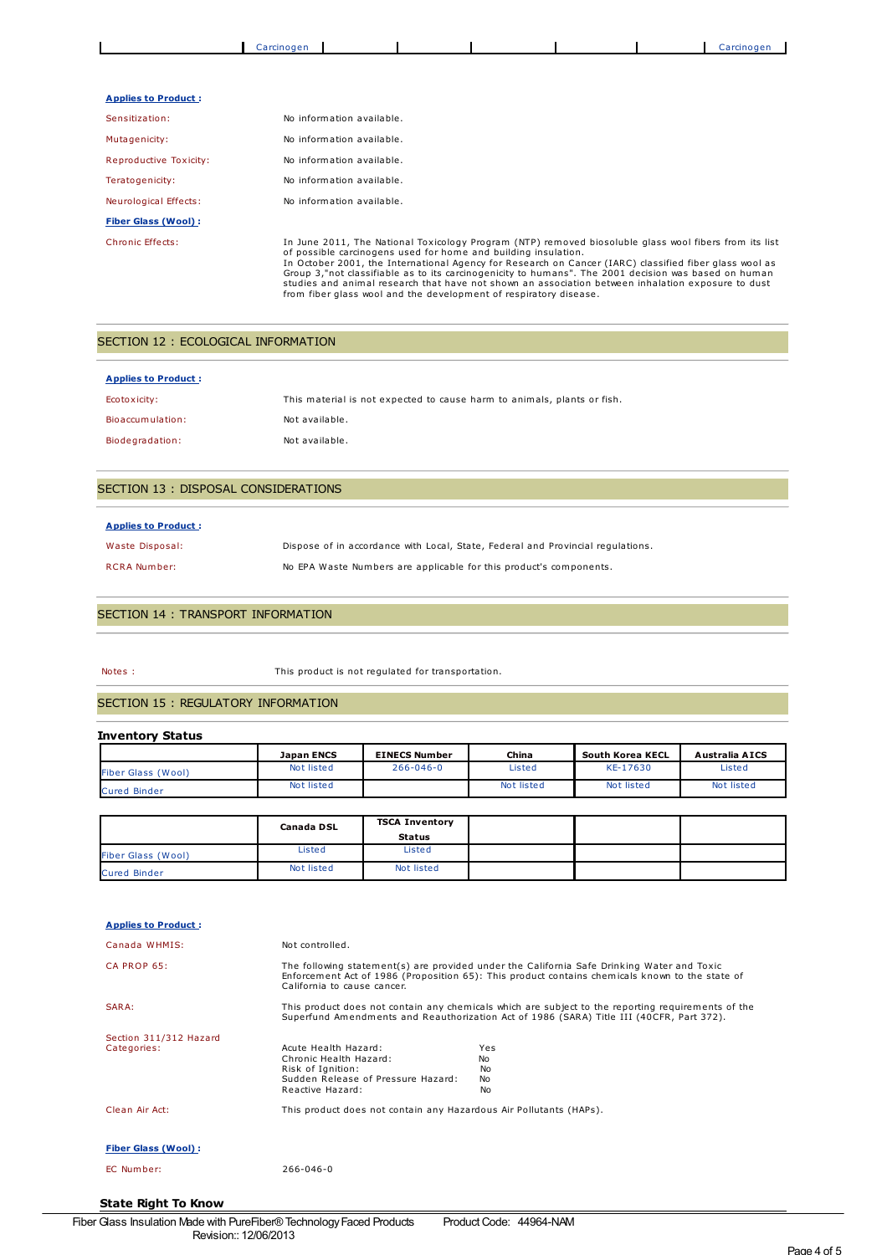|                              | Carcinogen                |                                                                                                        |  | Carcinogen |
|------------------------------|---------------------------|--------------------------------------------------------------------------------------------------------|--|------------|
|                              |                           |                                                                                                        |  |            |
| <b>Applies to Product:</b>   |                           |                                                                                                        |  |            |
| Sensitization:               | No information available. |                                                                                                        |  |            |
| Mutagenicity:                |                           | No information available.                                                                              |  |            |
| Reproductive Toxicity:       |                           | No information available.                                                                              |  |            |
| Teratogenicity:              |                           | No information available.                                                                              |  |            |
| Neurological Effects:        |                           | No information available.                                                                              |  |            |
| <b>Fiber Glass (Wool):</b>   |                           |                                                                                                        |  |            |
| $Chenale$ <sub>Effacto</sub> |                           | In June 2011, The National Texteeleey Broaram (NTB) removed biocoluble glace weel fibers from its list |  |            |

Chronic Effects:<br>
In June 2011, The National Toxicology Program (NTP) removed biosoluble glass wool fibers from its list<br>
of possible carcinogens used for home and building insulation.<br>
In October 2001, the International A

## SECTION 12 : ECOLOGICAL INFORMATION

| <b>Applies to Product:</b> |                                                                         |
|----------------------------|-------------------------------------------------------------------------|
| Ecotoxicity:               | This material is not expected to cause harm to animals, plants or fish. |
| Bioaccumulation:           | Not available.                                                          |
| Biodegradation:            | Not available.                                                          |

### SECTION 13 : DISPOSAL CONSIDERATIONS

#### **Applies to Product :**

| Waste Disposal:     | Dispose of in accordance with Local, State, Federal and Provincial regulations. |
|---------------------|---------------------------------------------------------------------------------|
| <b>RCRA Number:</b> | No EPA Waste Numbers are applicable for this product's components.              |

#### SECTION 14 : TRANSPORT INFORMATION

Notes : This product is not regulated for transportation.

### SECTION 15 : REGULATORY INFORMATION

#### **Inventory Status**

|                           | <b>Japan ENCS</b> | <b>EINECS Number</b> | China      | South Korea KECL | Australia AICS |
|---------------------------|-------------------|----------------------|------------|------------------|----------------|
| <b>Fiber Glass (Wool)</b> | Not listed        | $266 - 046 - 0$      | Listed     | KE-17630         | Listed         |
| <b>Cured Binder</b>       | Not listed        |                      | Not listed | Not listed       | Not listed     |

|                           | <b>Canada DSL</b> | <b>TSCA Inventory</b> |  |  |
|---------------------------|-------------------|-----------------------|--|--|
|                           |                   | <b>Status</b>         |  |  |
| <b>Fiber Glass (Wool)</b> | Listed            | Listed                |  |  |
| <b>Cured Binder</b>       | Not listed        | Not listed            |  |  |

| <b>Applies to Product:</b> |                                                                    |                                                                                                                                                                                                |
|----------------------------|--------------------------------------------------------------------|------------------------------------------------------------------------------------------------------------------------------------------------------------------------------------------------|
| Canada WHMIS:              | Not controlled.                                                    |                                                                                                                                                                                                |
| CA PROP 65:                | California to cause cancer.                                        | The following statement(s) are provided under the California Safe Drinking Water and Toxic<br>Enforcement Act of 1986 (Proposition 65): This product contains chemicals known to the state of  |
| SARA:                      |                                                                    | This product does not contain any chemicals which are subject to the reporting requirements of the<br>Superfund Amendments and Reauthorization Act of 1986 (SARA) Title III (40CFR, Part 372). |
| Section 311/312 Hazard     |                                                                    |                                                                                                                                                                                                |
| Categories:                | Acute Health Hazard:                                               | Yes                                                                                                                                                                                            |
|                            | Chronic Health Hazard:                                             | <b>No</b>                                                                                                                                                                                      |
|                            | Risk of Ignition:<br>Sudden Release of Pressure Hazard:            | No.<br>No                                                                                                                                                                                      |
|                            | Reactive Hazard:                                                   | <b>No</b>                                                                                                                                                                                      |
| Clean Air Act:             | This product does not contain any Hazardous Air Pollutants (HAPs). |                                                                                                                                                                                                |
| <b>Fiber Glass (Wool):</b> |                                                                    |                                                                                                                                                                                                |
| EC Number:                 | $266 - 046 - 0$                                                    |                                                                                                                                                                                                |

#### **State Right To Know**